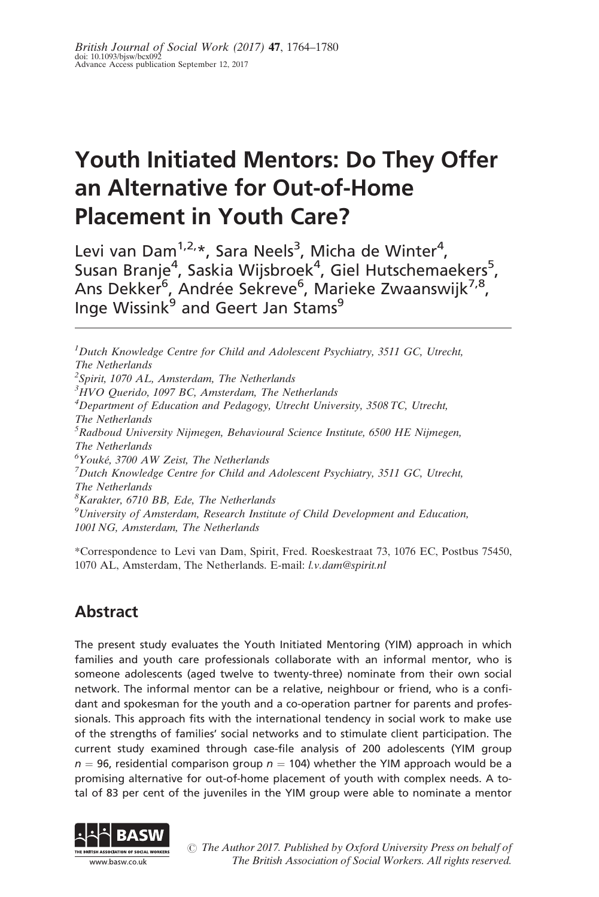# Youth Initiated Mentors: Do They Offer an Alternative for Out-of-Home Placement in Youth Care?

Levi van Dam<sup>1,2,</sup>\*, Sara Neels<sup>3</sup>, Micha de Winter<sup>4</sup>, Susan Branje<sup>4</sup>, Saskia Wijsbroek<sup>4</sup>, Giel Hutschemaekers<sup>5</sup>, Ans Dekker<sup>6</sup>, Andrée Sekreve<sup>6</sup>, Marieke Zwaanswijk<sup>7,8</sup>, Inge Wissink<sup>9</sup> and Geert Jan Stams<sup>9</sup>

 ${}^{1}$ Dutch Knowledge Centre for Child and Adolescent Psychiatry, 3511 GC, Utrecht, The Netherlands <sup>2</sup>Spirit, 1070 AL, Amsterdam, The Netherlands  $3HVO$  Querido, 1097 BC, Amsterdam, The Netherlands <sup>4</sup>Department of Education and Pedagogy, Utrecht University, 3508 TC, Utrecht, The Netherlands <sup>5</sup> Radboud University Nijmegen, Behavioural Science Institute, 6500 HE Nijmegen, The Netherlands <sup>6</sup>Youké, 3700 AW Zeist, The Netherlands<br><sup>7</sup>Dutch Knowledge Centre for Child and  $^7$ Dutch Knowledge Centre for Child and Adolescent Psychiatry, 3511 GC, Utrecht, The Netherlands 8 Karakter, 6710 BB, Ede, The Netherlands  $^{9}$ University of Amsterdam, Research Institute of Child Development and Education, 1001 NG, Amsterdam, The Netherlands

\*Correspondence to Levi van Dam, Spirit, Fred. Roeskestraat 73, 1076 EC, Postbus 75450, 1070 AL, Amsterdam, The Netherlands. E-mail: l.v.dam@spirit.nl

# Abstract

The present study evaluates the Youth Initiated Mentoring (YIM) approach in which families and youth care professionals collaborate with an informal mentor, who is someone adolescents (aged twelve to twenty-three) nominate from their own social network. The informal mentor can be a relative, neighbour or friend, who is a confidant and spokesman for the youth and a co-operation partner for parents and professionals. This approach fits with the international tendency in social work to make use of the strengths of families' social networks and to stimulate client participation. The current study examined through case-file analysis of 200 adolescents (YIM group  $n = 96$ , residential comparison group  $n = 104$ ) whether the YIM approach would be a promising alternative for out-of-home placement of youth with complex needs. A total of 83 per cent of the juveniles in the YIM group were able to nominate a mentor



 $\odot$  The Author 2017. Published by Oxford University Press on behalf of The British Association of Social Workers. All rights reserved.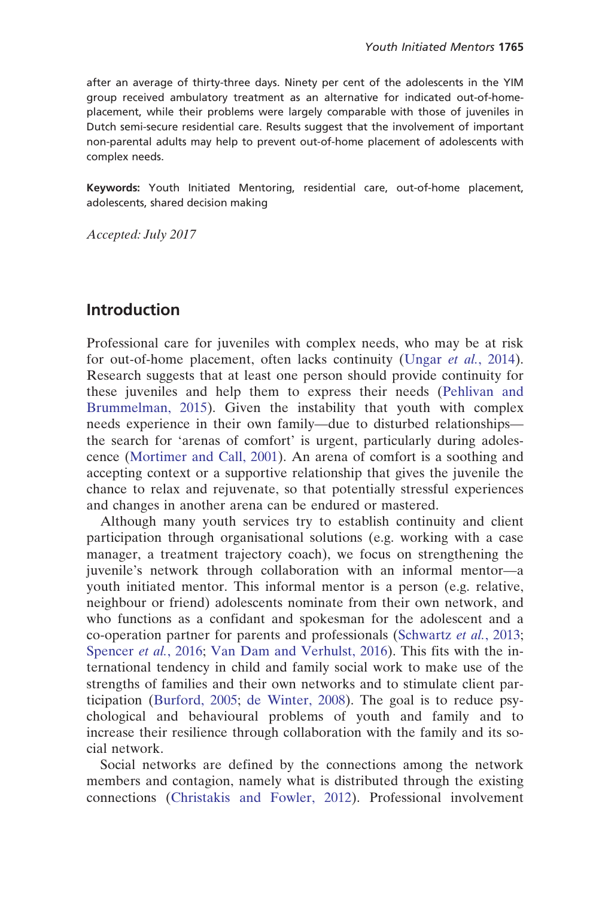after an average of thirty-three days. Ninety per cent of the adolescents in the YIM group received ambulatory treatment as an alternative for indicated out-of-homeplacement, while their problems were largely comparable with those of juveniles in Dutch semi-secure residential care. Results suggest that the involvement of important non-parental adults may help to prevent out-of-home placement of adolescents with complex needs.

Keywords: Youth Initiated Mentoring, residential care, out-of-home placement, adolescents, shared decision making

Accepted: July 2017

## Introduction

Professional care for juveniles with complex needs, who may be at risk for out-of-home placement, often lacks continuity (Ungar et al.[, 2014\)](#page-16-0). Research suggests that at least one person should provide continuity for these juveniles and help them to express their needs [\(Pehlivan and](#page-15-0) [Brummelman, 2015](#page-15-0)). Given the instability that youth with complex needs experience in their own family—due to disturbed relationships the search for 'arenas of comfort' is urgent, particularly during adolescence ([Mortimer and Call, 2001](#page-15-0)). An arena of comfort is a soothing and accepting context or a supportive relationship that gives the juvenile the chance to relax and rejuvenate, so that potentially stressful experiences and changes in another arena can be endured or mastered.

Although many youth services try to establish continuity and client participation through organisational solutions (e.g. working with a case manager, a treatment trajectory coach), we focus on strengthening the juvenile's network through collaboration with an informal mentor—a youth initiated mentor. This informal mentor is a person (e.g. relative, neighbour or friend) adolescents nominate from their own network, and who functions as a confidant and spokesman for the adolescent and a co-operation partner for parents and professionals [\(Schwartz](#page-15-0) et al., 2013; [Spencer](#page-16-0) et al., 2016; [Van Dam and Verhulst, 2016](#page-16-0)). This fits with the international tendency in child and family social work to make use of the strengths of families and their own networks and to stimulate client participation ([Burford, 2005](#page-14-0); [de Winter, 2008](#page-14-0)). The goal is to reduce psychological and behavioural problems of youth and family and to increase their resilience through collaboration with the family and its social network.

Social networks are defined by the connections among the network members and contagion, namely what is distributed through the existing connections [\(Christakis and Fowler, 2012\)](#page-14-0). Professional involvement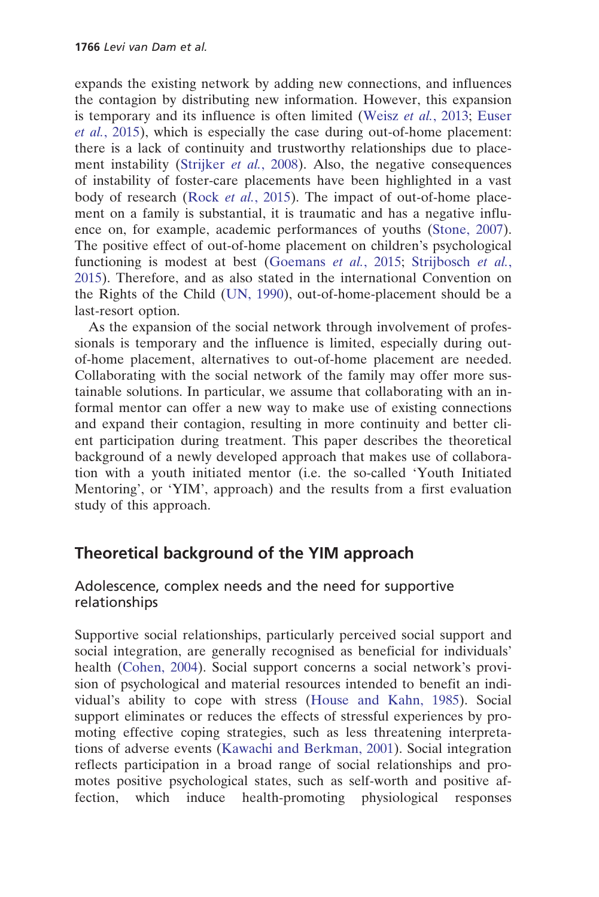expands the existing network by adding new connections, and influences the contagion by distributing new information. However, this expansion is temporary and its influence is often limited [\(Weisz](#page-16-0) et al., 2013; [Euser](#page-14-0) et al.[, 2015](#page-14-0)), which is especially the case during out-of-home placement: there is a lack of continuity and trustworthy relationships due to placement instability [\(Strijker](#page-16-0) et al., 2008). Also, the negative consequences of instability of foster-care placements have been highlighted in a vast body of research (Rock et al.[, 2015\)](#page-15-0). The impact of out-of-home placement on a family is substantial, it is traumatic and has a negative influence on, for example, academic performances of youths ([Stone, 2007\)](#page-16-0). The positive effect of out-of-home placement on children's psychological functioning is modest at best [\(Goemans](#page-14-0) et al., 2015; [Strijbosch](#page-16-0) et al., [2015](#page-16-0)). Therefore, and as also stated in the international Convention on the Rights of the Child [\(UN, 1990\)](#page-16-0), out-of-home-placement should be a last-resort option.

As the expansion of the social network through involvement of professionals is temporary and the influence is limited, especially during outof-home placement, alternatives to out-of-home placement are needed. Collaborating with the social network of the family may offer more sustainable solutions. In particular, we assume that collaborating with an informal mentor can offer a new way to make use of existing connections and expand their contagion, resulting in more continuity and better client participation during treatment. This paper describes the theoretical background of a newly developed approach that makes use of collaboration with a youth initiated mentor (i.e. the so-called 'Youth Initiated Mentoring', or 'YIM', approach) and the results from a first evaluation study of this approach.

# Theoretical background of the YIM approach

#### Adolescence, complex needs and the need for supportive relationships

Supportive social relationships, particularly perceived social support and social integration, are generally recognised as beneficial for individuals' health ([Cohen, 2004](#page-14-0)). Social support concerns a social network's provision of psychological and material resources intended to benefit an individual's ability to cope with stress ([House and Kahn, 1985](#page-14-0)). Social support eliminates or reduces the effects of stressful experiences by promoting effective coping strategies, such as less threatening interpretations of adverse events ([Kawachi and Berkman, 2001](#page-14-0)). Social integration reflects participation in a broad range of social relationships and promotes positive psychological states, such as self-worth and positive affection, which induce health-promoting physiological responses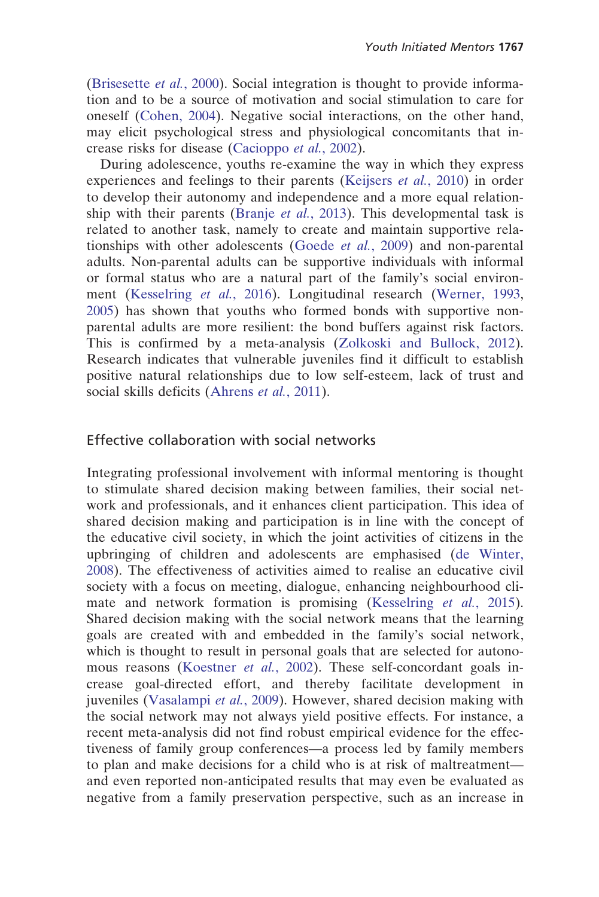([Brisesette](#page-13-0) et al., 2000). Social integration is thought to provide information and to be a source of motivation and social stimulation to care for oneself [\(Cohen, 2004](#page-14-0)). Negative social interactions, on the other hand, may elicit psychological stress and physiological concomitants that increase risks for disease [\(Cacioppo](#page-14-0) et al., 2002).

During adolescence, youths re-examine the way in which they express experiences and feelings to their parents ([Keijsers](#page-14-0) et al., 2010) in order to develop their autonomy and independence and a more equal relation-ship with their parents ([Branje](#page-13-0) et al., 2013). This developmental task is related to another task, namely to create and maintain supportive relationships with other adolescents ([Goede](#page-14-0) et al., 2009) and non-parental adults. Non-parental adults can be supportive individuals with informal or formal status who are a natural part of the family's social environment [\(Kesselring](#page-15-0) et al., 2016). Longitudinal research [\(Werner, 1993](#page-16-0), [2005](#page-16-0)) has shown that youths who formed bonds with supportive nonparental adults are more resilient: the bond buffers against risk factors. This is confirmed by a meta-analysis [\(Zolkoski and Bullock, 2012\)](#page-16-0). Research indicates that vulnerable juveniles find it difficult to establish positive natural relationships due to low self-esteem, lack of trust and social skills deficits [\(Ahrens](#page-13-0) et al., 2011).

#### Effective collaboration with social networks

Integrating professional involvement with informal mentoring is thought to stimulate shared decision making between families, their social network and professionals, and it enhances client participation. This idea of shared decision making and participation is in line with the concept of the educative civil society, in which the joint activities of citizens in the upbringing of children and adolescents are emphasised ([de Winter,](#page-14-0) [2008](#page-14-0)). The effectiveness of activities aimed to realise an educative civil society with a focus on meeting, dialogue, enhancing neighbourhood cli-mate and network formation is promising ([Kesselring](#page-14-0) *et al.*, 2015). Shared decision making with the social network means that the learning goals are created with and embedded in the family's social network, which is thought to result in personal goals that are selected for autonomous reasons ([Koestner](#page-15-0) et al., 2002). These self-concordant goals increase goal-directed effort, and thereby facilitate development in juveniles ([Vasalampi](#page-16-0) et al., 2009). However, shared decision making with the social network may not always yield positive effects. For instance, a recent meta-analysis did not find robust empirical evidence for the effectiveness of family group conferences—a process led by family members to plan and make decisions for a child who is at risk of maltreatment and even reported non-anticipated results that may even be evaluated as negative from a family preservation perspective, such as an increase in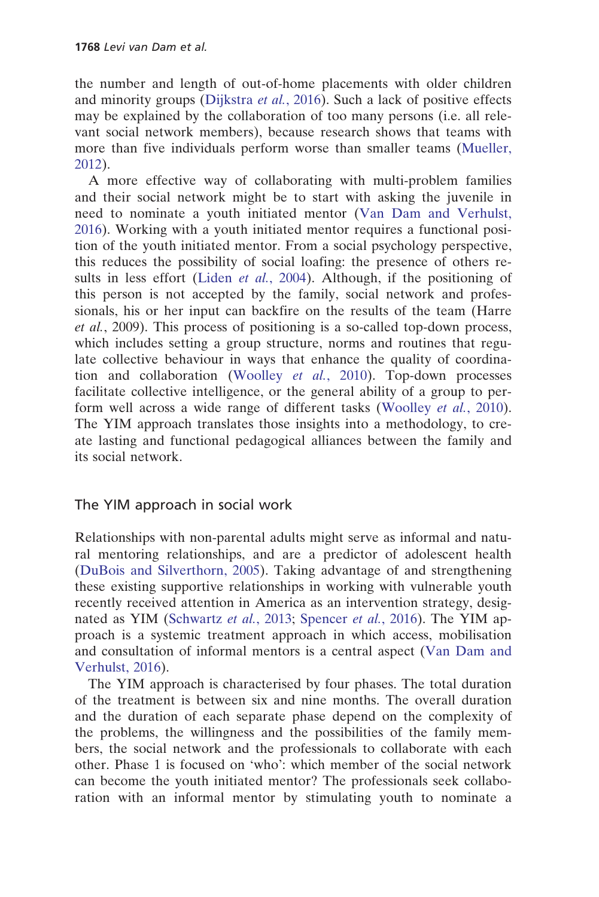the number and length of out-of-home placements with older children and minority groups ([Dijkstra](#page-14-0) et al., 2016). Such a lack of positive effects may be explained by the collaboration of too many persons (i.e. all relevant social network members), because research shows that teams with more than five individuals perform worse than smaller teams [\(Mueller,](#page-15-0) [2012](#page-15-0)).

A more effective way of collaborating with multi-problem families and their social network might be to start with asking the juvenile in need to nominate a youth initiated mentor ([Van Dam and Verhulst,](#page-16-0) [2016](#page-16-0)). Working with a youth initiated mentor requires a functional position of the youth initiated mentor. From a social psychology perspective, this reduces the possibility of social loafing: the presence of others re-sults in less effort (Liden et al.[, 2004](#page-15-0)). Although, if the positioning of this person is not accepted by the family, social network and professionals, his or her input can backfire on the results of the team (Harre et al., 2009). This process of positioning is a so-called top-down process, which includes setting a group structure, norms and routines that regulate collective behaviour in ways that enhance the quality of coordination and collaboration [\(Woolley](#page-16-0) et al., 2010). Top-down processes facilitate collective intelligence, or the general ability of a group to perform well across a wide range of different tasks ([Woolley](#page-16-0) et al., 2010). The YIM approach translates those insights into a methodology, to create lasting and functional pedagogical alliances between the family and its social network.

#### The YIM approach in social work

Relationships with non-parental adults might serve as informal and natural mentoring relationships, and are a predictor of adolescent health [\(DuBois and Silverthorn, 2005](#page-14-0)). Taking advantage of and strengthening these existing supportive relationships in working with vulnerable youth recently received attention in America as an intervention strategy, desig-nated as YIM ([Schwartz](#page-15-0) et al., 2013; [Spencer](#page-16-0) et al., 2016). The YIM approach is a systemic treatment approach in which access, mobilisation and consultation of informal mentors is a central aspect [\(Van Dam and](#page-16-0) [Verhulst, 2016\)](#page-16-0).

The YIM approach is characterised by four phases. The total duration of the treatment is between six and nine months. The overall duration and the duration of each separate phase depend on the complexity of the problems, the willingness and the possibilities of the family members, the social network and the professionals to collaborate with each other. Phase 1 is focused on 'who': which member of the social network can become the youth initiated mentor? The professionals seek collaboration with an informal mentor by stimulating youth to nominate a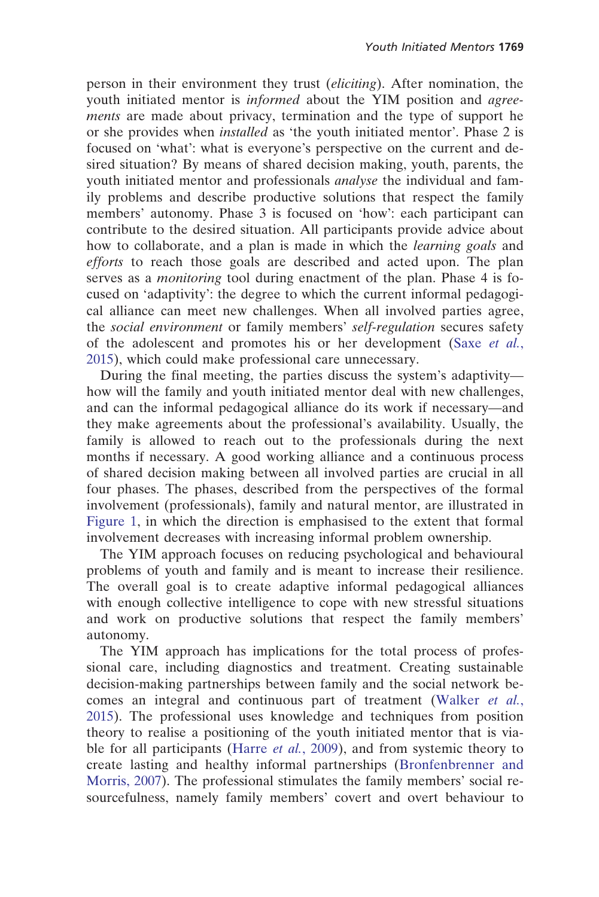person in their environment they trust (eliciting). After nomination, the youth initiated mentor is informed about the YIM position and agreements are made about privacy, termination and the type of support he or she provides when installed as 'the youth initiated mentor'. Phase 2 is focused on 'what': what is everyone's perspective on the current and desired situation? By means of shared decision making, youth, parents, the youth initiated mentor and professionals analyse the individual and family problems and describe productive solutions that respect the family members' autonomy. Phase 3 is focused on 'how': each participant can contribute to the desired situation. All participants provide advice about how to collaborate, and a plan is made in which the *learning goals* and efforts to reach those goals are described and acted upon. The plan serves as a *monitoring* tool during enactment of the plan. Phase 4 is focused on 'adaptivity': the degree to which the current informal pedagogical alliance can meet new challenges. When all involved parties agree, the social environment or family members' self-regulation secures safety of the adolescent and promotes his or her development (Saxe [et al.](#page-15-0), [2015](#page-15-0)), which could make professional care unnecessary.

During the final meeting, the parties discuss the system's adaptivity how will the family and youth initiated mentor deal with new challenges, and can the informal pedagogical alliance do its work if necessary—and they make agreements about the professional's availability. Usually, the family is allowed to reach out to the professionals during the next months if necessary. A good working alliance and a continuous process of shared decision making between all involved parties are crucial in all four phases. The phases, described from the perspectives of the formal involvement (professionals), family and natural mentor, are illustrated in [Figure 1](#page-6-0), in which the direction is emphasised to the extent that formal involvement decreases with increasing informal problem ownership.

The YIM approach focuses on reducing psychological and behavioural problems of youth and family and is meant to increase their resilience. The overall goal is to create adaptive informal pedagogical alliances with enough collective intelligence to cope with new stressful situations and work on productive solutions that respect the family members' autonomy.

The YIM approach has implications for the total process of professional care, including diagnostics and treatment. Creating sustainable decision-making partnerships between family and the social network be-comes an integral and continuous part of treatment [\(Walker](#page-16-0) *et al.*, [2015](#page-16-0)). The professional uses knowledge and techniques from position theory to realise a positioning of the youth initiated mentor that is viable for all participants (Harre *et al.*[, 2009\)](#page-14-0), and from systemic theory to create lasting and healthy informal partnerships [\(Bronfenbrenner and](#page-13-0) [Morris, 2007](#page-13-0)). The professional stimulates the family members' social resourcefulness, namely family members' covert and overt behaviour to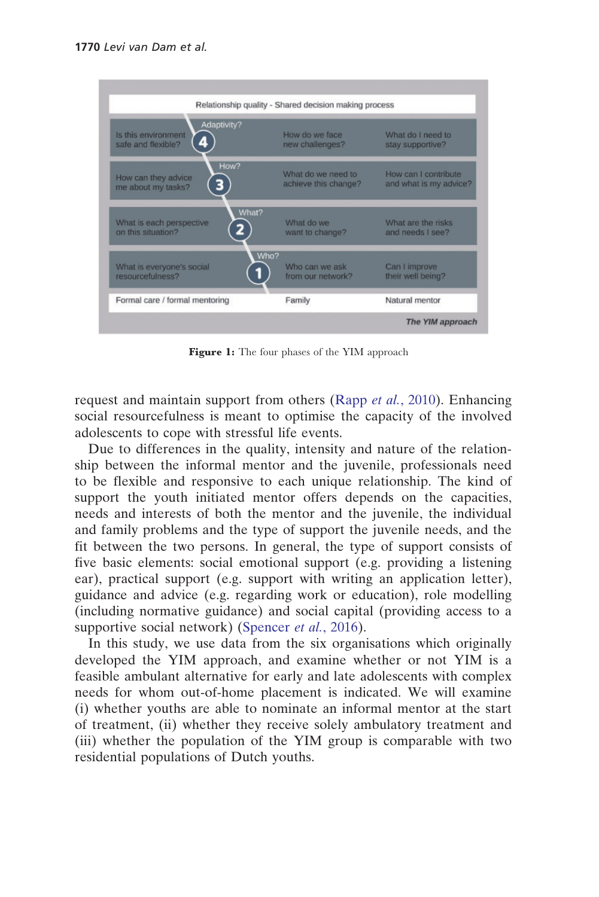<span id="page-6-0"></span>

Figure 1: The four phases of the YIM approach

request and maintain support from others (Rapp et al.[, 2010\)](#page-15-0). Enhancing social resourcefulness is meant to optimise the capacity of the involved adolescents to cope with stressful life events.

Due to differences in the quality, intensity and nature of the relationship between the informal mentor and the juvenile, professionals need to be flexible and responsive to each unique relationship. The kind of support the youth initiated mentor offers depends on the capacities, needs and interests of both the mentor and the juvenile, the individual and family problems and the type of support the juvenile needs, and the fit between the two persons. In general, the type of support consists of five basic elements: social emotional support (e.g. providing a listening ear), practical support (e.g. support with writing an application letter), guidance and advice (e.g. regarding work or education), role modelling (including normative guidance) and social capital (providing access to a supportive social network) [\(Spencer](#page-16-0) et al., 2016).

In this study, we use data from the six organisations which originally developed the YIM approach, and examine whether or not YIM is a feasible ambulant alternative for early and late adolescents with complex needs for whom out-of-home placement is indicated. We will examine (i) whether youths are able to nominate an informal mentor at the start of treatment, (ii) whether they receive solely ambulatory treatment and (iii) whether the population of the YIM group is comparable with two residential populations of Dutch youths.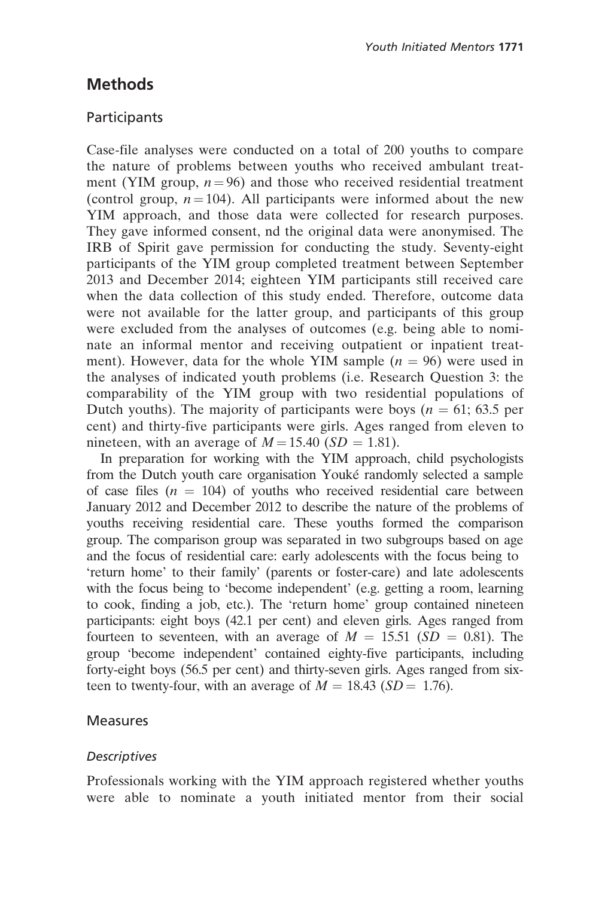# Methods

## **Participants**

Case-file analyses were conducted on a total of 200 youths to compare the nature of problems between youths who received ambulant treatment (YIM group,  $n = 96$ ) and those who received residential treatment (control group,  $n = 104$ ). All participants were informed about the new YIM approach, and those data were collected for research purposes. They gave informed consent, nd the original data were anonymised. The IRB of Spirit gave permission for conducting the study. Seventy-eight participants of the YIM group completed treatment between September 2013 and December 2014; eighteen YIM participants still received care when the data collection of this study ended. Therefore, outcome data were not available for the latter group, and participants of this group were excluded from the analyses of outcomes (e.g. being able to nominate an informal mentor and receiving outpatient or inpatient treatment). However, data for the whole YIM sample  $(n = 96)$  were used in the analyses of indicated youth problems (i.e. Research Question 3: the comparability of the YIM group with two residential populations of Dutch youths). The majority of participants were boys ( $n = 61$ ; 63.5 per cent) and thirty-five participants were girls. Ages ranged from eleven to nineteen, with an average of  $M = 15.40$  (SD = 1.81).

In preparation for working with the YIM approach, child psychologists from the Dutch youth care organisation Youké randomly selected a sample of case files  $(n = 104)$  of youths who received residential care between January 2012 and December 2012 to describe the nature of the problems of youths receiving residential care. These youths formed the comparison group. The comparison group was separated in two subgroups based on age and the focus of residential care: early adolescents with the focus being to 'return home' to their family' (parents or foster-care) and late adolescents with the focus being to 'become independent' (e.g. getting a room, learning to cook, finding a job, etc.). The 'return home' group contained nineteen participants: eight boys (42.1 per cent) and eleven girls. Ages ranged from fourteen to seventeen, with an average of  $M = 15.51$  (SD = 0.81). The group 'become independent' contained eighty-five participants, including forty-eight boys (56.5 per cent) and thirty-seven girls. Ages ranged from sixteen to twenty-four, with an average of  $M = 18.43$  (SD = 1.76).

#### Measures

#### **Descriptives**

Professionals working with the YIM approach registered whether youths were able to nominate a youth initiated mentor from their social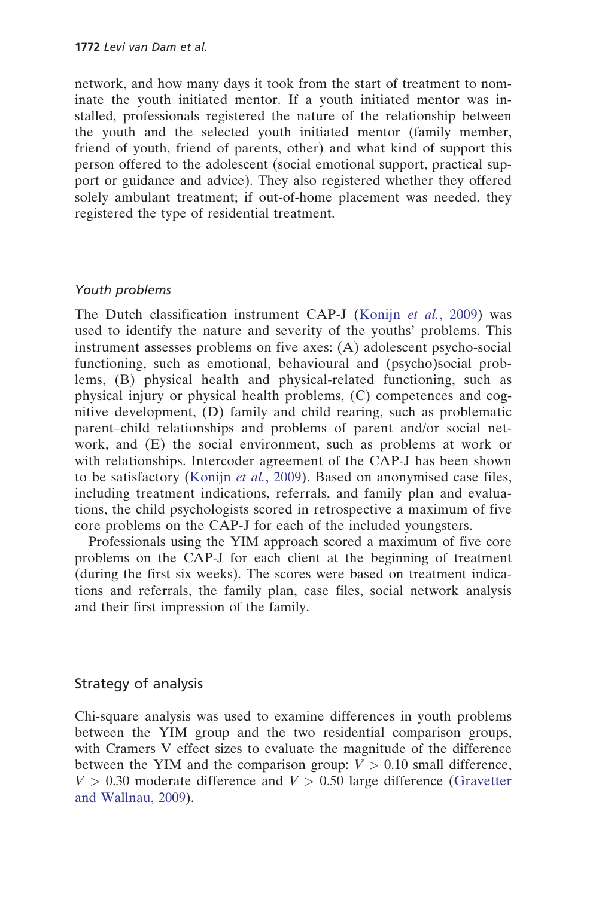network, and how many days it took from the start of treatment to nominate the youth initiated mentor. If a youth initiated mentor was installed, professionals registered the nature of the relationship between the youth and the selected youth initiated mentor (family member, friend of youth, friend of parents, other) and what kind of support this person offered to the adolescent (social emotional support, practical support or guidance and advice). They also registered whether they offered solely ambulant treatment; if out-of-home placement was needed, they registered the type of residential treatment.

#### Youth problems

The Dutch classification instrument CAP-J [\(Konijn](#page-15-0) et al., 2009) was used to identify the nature and severity of the youths' problems. This instrument assesses problems on five axes: (A) adolescent psycho-social functioning, such as emotional, behavioural and (psycho)social problems, (B) physical health and physical-related functioning, such as physical injury or physical health problems, (C) competences and cognitive development, (D) family and child rearing, such as problematic parent–child relationships and problems of parent and/or social network, and (E) the social environment, such as problems at work or with relationships. Intercoder agreement of the CAP-J has been shown to be satisfactory [\(Konijn](#page-15-0) et al., 2009). Based on anonymised case files, including treatment indications, referrals, and family plan and evaluations, the child psychologists scored in retrospective a maximum of five core problems on the CAP-J for each of the included youngsters.

Professionals using the YIM approach scored a maximum of five core problems on the CAP-J for each client at the beginning of treatment (during the first six weeks). The scores were based on treatment indications and referrals, the family plan, case files, social network analysis and their first impression of the family.

#### Strategy of analysis

Chi-square analysis was used to examine differences in youth problems between the YIM group and the two residential comparison groups, with Cramers V effect sizes to evaluate the magnitude of the difference between the YIM and the comparison group:  $V > 0.10$  small difference,  $V > 0.30$  moderate difference and  $V > 0.50$  large difference [\(Gravetter](#page-14-0) [and Wallnau, 2009](#page-14-0)).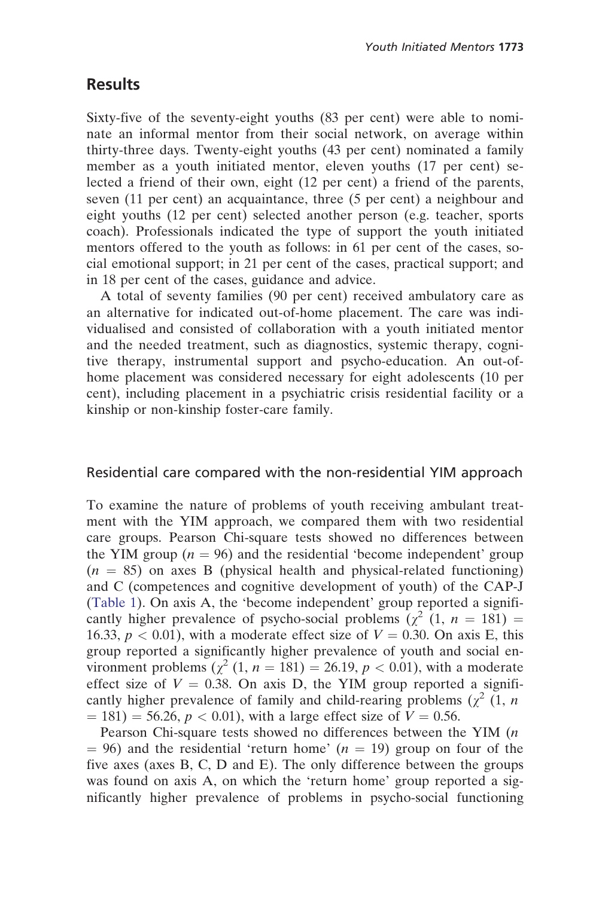## Results

Sixty-five of the seventy-eight youths (83 per cent) were able to nominate an informal mentor from their social network, on average within thirty-three days. Twenty-eight youths (43 per cent) nominated a family member as a youth initiated mentor, eleven youths (17 per cent) selected a friend of their own, eight (12 per cent) a friend of the parents, seven (11 per cent) an acquaintance, three (5 per cent) a neighbour and eight youths (12 per cent) selected another person (e.g. teacher, sports coach). Professionals indicated the type of support the youth initiated mentors offered to the youth as follows: in 61 per cent of the cases, social emotional support; in 21 per cent of the cases, practical support; and in 18 per cent of the cases, guidance and advice.

A total of seventy families (90 per cent) received ambulatory care as an alternative for indicated out-of-home placement. The care was individualised and consisted of collaboration with a youth initiated mentor and the needed treatment, such as diagnostics, systemic therapy, cognitive therapy, instrumental support and psycho-education. An out-ofhome placement was considered necessary for eight adolescents (10 per cent), including placement in a psychiatric crisis residential facility or a kinship or non-kinship foster-care family.

#### Residential care compared with the non-residential YIM approach

To examine the nature of problems of youth receiving ambulant treatment with the YIM approach, we compared them with two residential care groups. Pearson Chi-square tests showed no differences between the YIM group  $(n = 96)$  and the residential 'become independent' group  $(n = 85)$  on axes B (physical health and physical-related functioning) and C (competences and cognitive development of youth) of the CAP-J ([Table 1](#page-10-0)). On axis A, the 'become independent' group reported a significantly higher prevalence of psycho-social problems ( $\gamma^2$  (1,  $n = 181$ ) = 16.33,  $p < 0.01$ ), with a moderate effect size of  $V = 0.30$ . On axis E, this group reported a significantly higher prevalence of youth and social environment problems  $(\chi^2 (1, n = 181) = 26.19, p < 0.01)$ , with a moderate effect size of  $V = 0.38$ . On axis D, the YIM group reported a significantly higher prevalence of family and child-rearing problems ( $\gamma^2$  (1, *n*)  $(181) = 56.26, p < 0.01$ , with a large effect size of  $V = 0.56$ .

Pearson Chi-square tests showed no differences between the YIM (n  $= 96$ ) and the residential 'return home' ( $n = 19$ ) group on four of the five axes (axes B, C, D and E). The only difference between the groups was found on axis A, on which the 'return home' group reported a significantly higher prevalence of problems in psycho-social functioning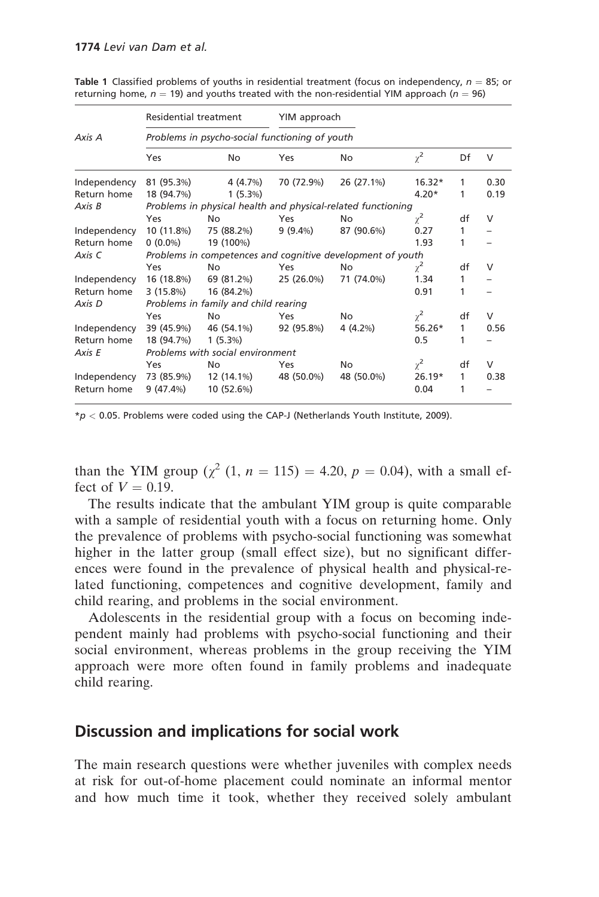| Axis A       | Residential treatment                                        |            | YIM approach |            |          |    |        |
|--------------|--------------------------------------------------------------|------------|--------------|------------|----------|----|--------|
|              | Problems in psycho-social functioning of youth               |            |              |            |          |    |        |
|              | Yes                                                          | No         | Yes          | No         | $\chi^2$ | Df | $\vee$ |
| Independency | 81 (95.3%)                                                   | 4 (4.7%)   | 70 (72.9%)   | 26 (27.1%) | $16.32*$ | 1  | 0.30   |
| Return home  | 18 (94.7%)                                                   | 1(5.3%)    |              |            | $4.20*$  | 1  | 0.19   |
| Axis B       | Problems in physical health and physical-related functioning |            |              |            |          |    |        |
|              | Yes                                                          | No         | Yes          | No         | $\chi^2$ | df | V      |
| Independency | 10 (11.8%)                                                   | 75 (88.2%) | $9(9.4\%)$   | 87 (90.6%) | 0.27     | 1  |        |
| Return home  | $0(0.0\%)$                                                   | 19 (100%)  |              |            | 1.93     | 1  |        |
| Axis C       | Problems in competences and cognitive development of youth   |            |              |            |          |    |        |
|              | Yes                                                          | No         | Yes          | No         | $\chi^2$ | df | V      |
| Independency | 16 (18.8%)                                                   | 69 (81.2%) | 25 (26.0%)   | 71 (74.0%) | 1.34     | 1  |        |
| Return home  | 3(15.8%)                                                     | 16 (84.2%) |              |            | 0.91     | 1  |        |
| Axis D       | Problems in family and child rearing                         |            |              |            |          |    |        |
|              | Yes                                                          | No         | Yes          | No         | $\chi^2$ | df | $\vee$ |
| Independency | 39 (45.9%)                                                   | 46 (54.1%) | 92 (95.8%)   | 4 (4.2%)   | $56.26*$ | 1  | 0.56   |
| Return home  | 18 (94.7%)                                                   | 1(5.3%)    |              |            | 0.5      | 1  |        |
| Axis E       | Problems with social environment                             |            |              |            |          |    |        |
|              | Yes                                                          | No         | Yes          | No         | $\chi^2$ | df | V      |
| Independency | 73 (85.9%)                                                   | 12 (14.1%) | 48 (50.0%)   | 48 (50.0%) | $26.19*$ | 1  | 0.38   |
| Return home  | 9(47.4%)                                                     | 10 (52.6%) |              |            | 0.04     | 1  |        |

<span id="page-10-0"></span>Table 1 Classified problems of youths in residential treatment (focus on independency,  $n = 85$ ; or returning home,  $n = 19$ ) and youths treated with the non-residential YIM approach ( $n = 96$ )

 $*p < 0.05$ . Problems were coded using the CAP-J (Netherlands Youth Institute, 2009).

than the YIM group  $(\chi^2 (1, n = 115) = 4.20, p = 0.04)$ , with a small effect of  $V = 0.19$ .

The results indicate that the ambulant YIM group is quite comparable with a sample of residential youth with a focus on returning home. Only the prevalence of problems with psycho-social functioning was somewhat higher in the latter group (small effect size), but no significant differences were found in the prevalence of physical health and physical-related functioning, competences and cognitive development, family and child rearing, and problems in the social environment.

Adolescents in the residential group with a focus on becoming independent mainly had problems with psycho-social functioning and their social environment, whereas problems in the group receiving the YIM approach were more often found in family problems and inadequate child rearing.

### Discussion and implications for social work

The main research questions were whether juveniles with complex needs at risk for out-of-home placement could nominate an informal mentor and how much time it took, whether they received solely ambulant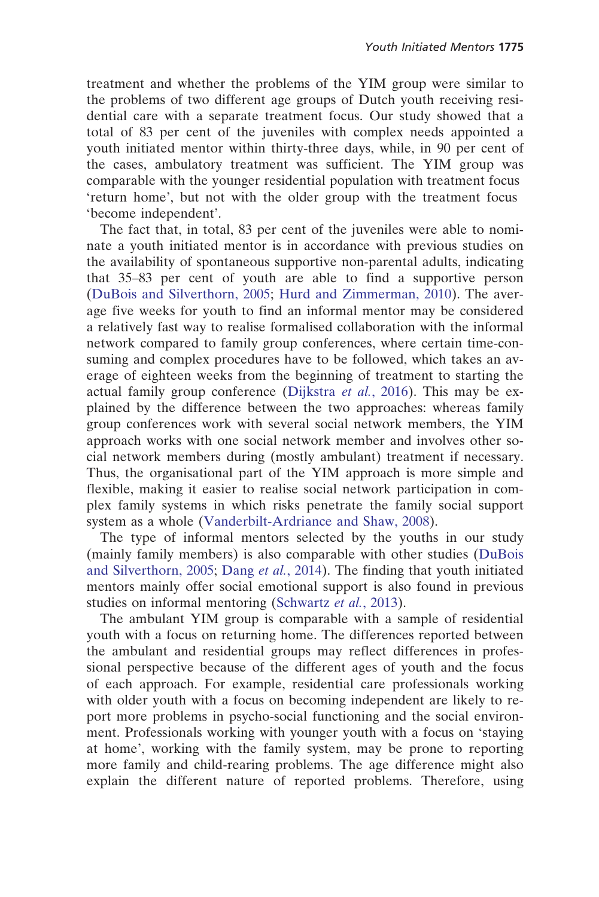treatment and whether the problems of the YIM group were similar to the problems of two different age groups of Dutch youth receiving residential care with a separate treatment focus. Our study showed that a total of 83 per cent of the juveniles with complex needs appointed a youth initiated mentor within thirty-three days, while, in 90 per cent of the cases, ambulatory treatment was sufficient. The YIM group was comparable with the younger residential population with treatment focus 'return home', but not with the older group with the treatment focus 'become independent'.

The fact that, in total, 83 per cent of the juveniles were able to nominate a youth initiated mentor is in accordance with previous studies on the availability of spontaneous supportive non-parental adults, indicating that 35–83 per cent of youth are able to find a supportive person ([DuBois and Silverthorn, 2005;](#page-14-0) [Hurd and Zimmerman, 2010\)](#page-14-0). The average five weeks for youth to find an informal mentor may be considered a relatively fast way to realise formalised collaboration with the informal network compared to family group conferences, where certain time-consuming and complex procedures have to be followed, which takes an average of eighteen weeks from the beginning of treatment to starting the actual family group conference [\(Dijkstra](#page-14-0) et al., 2016). This may be explained by the difference between the two approaches: whereas family group conferences work with several social network members, the YIM approach works with one social network member and involves other social network members during (mostly ambulant) treatment if necessary. Thus, the organisational part of the YIM approach is more simple and flexible, making it easier to realise social network participation in complex family systems in which risks penetrate the family social support system as a whole ([Vanderbilt-Ardriance and Shaw, 2008](#page-16-0)).

The type of informal mentors selected by the youths in our study (mainly family members) is also comparable with other studies ([DuBois](#page-14-0) [and Silverthorn, 2005](#page-14-0); Dang et al.[, 2014\)](#page-14-0). The finding that youth initiated mentors mainly offer social emotional support is also found in previous studies on informal mentoring [\(Schwartz](#page-15-0) et al., 2013).

The ambulant YIM group is comparable with a sample of residential youth with a focus on returning home. The differences reported between the ambulant and residential groups may reflect differences in professional perspective because of the different ages of youth and the focus of each approach. For example, residential care professionals working with older youth with a focus on becoming independent are likely to report more problems in psycho-social functioning and the social environment. Professionals working with younger youth with a focus on 'staying at home', working with the family system, may be prone to reporting more family and child-rearing problems. The age difference might also explain the different nature of reported problems. Therefore, using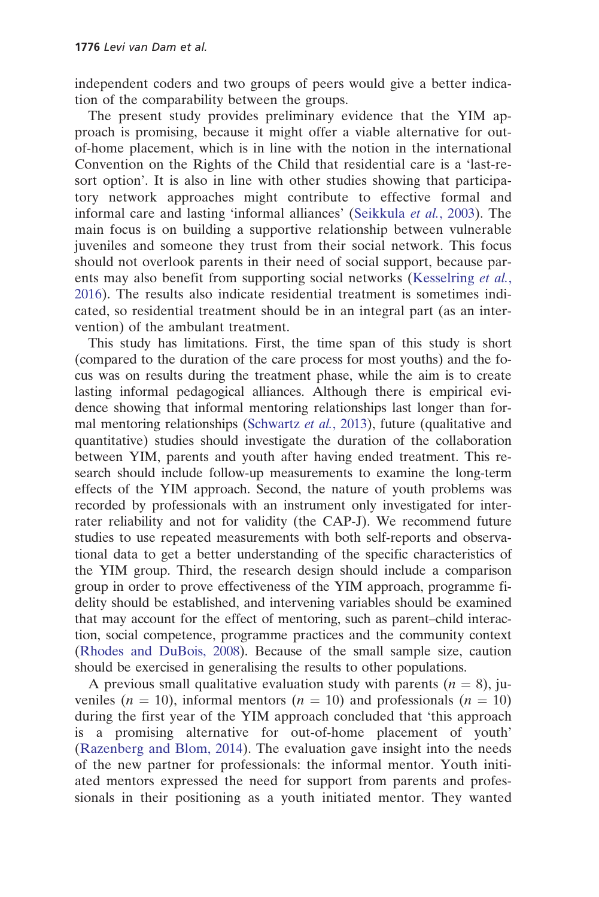independent coders and two groups of peers would give a better indication of the comparability between the groups.

The present study provides preliminary evidence that the YIM approach is promising, because it might offer a viable alternative for outof-home placement, which is in line with the notion in the international Convention on the Rights of the Child that residential care is a 'last-resort option'. It is also in line with other studies showing that participatory network approaches might contribute to effective formal and informal care and lasting 'informal alliances' ([Seikkula](#page-15-0) et al., 2003). The main focus is on building a supportive relationship between vulnerable juveniles and someone they trust from their social network. This focus should not overlook parents in their need of social support, because par-ents may also benefit from supporting social networks ([Kesselring](#page-15-0) et al., [2016](#page-15-0)). The results also indicate residential treatment is sometimes indicated, so residential treatment should be in an integral part (as an intervention) of the ambulant treatment.

This study has limitations. First, the time span of this study is short (compared to the duration of the care process for most youths) and the focus was on results during the treatment phase, while the aim is to create lasting informal pedagogical alliances. Although there is empirical evidence showing that informal mentoring relationships last longer than formal mentoring relationships [\(Schwartz](#page-15-0) et al., 2013), future (qualitative and quantitative) studies should investigate the duration of the collaboration between YIM, parents and youth after having ended treatment. This research should include follow-up measurements to examine the long-term effects of the YIM approach. Second, the nature of youth problems was recorded by professionals with an instrument only investigated for interrater reliability and not for validity (the CAP-J). We recommend future studies to use repeated measurements with both self-reports and observational data to get a better understanding of the specific characteristics of the YIM group. Third, the research design should include a comparison group in order to prove effectiveness of the YIM approach, programme fidelity should be established, and intervening variables should be examined that may account for the effect of mentoring, such as parent–child interaction, social competence, programme practices and the community context [\(Rhodes and DuBois, 2008\)](#page-15-0). Because of the small sample size, caution should be exercised in generalising the results to other populations.

A previous small qualitative evaluation study with parents  $(n = 8)$ , juveniles ( $n = 10$ ), informal mentors ( $n = 10$ ) and professionals ( $n = 10$ ) during the first year of the YIM approach concluded that 'this approach is a promising alternative for out-of-home placement of youth' [\(Razenberg and Blom, 2014](#page-15-0)). The evaluation gave insight into the needs of the new partner for professionals: the informal mentor. Youth initiated mentors expressed the need for support from parents and professionals in their positioning as a youth initiated mentor. They wanted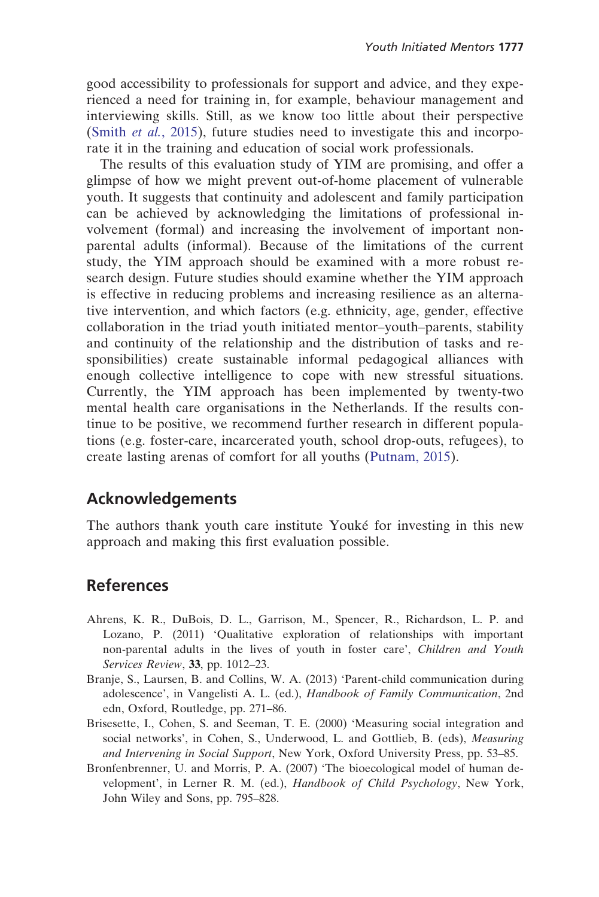<span id="page-13-0"></span>good accessibility to professionals for support and advice, and they experienced a need for training in, for example, behaviour management and interviewing skills. Still, as we know too little about their perspective (Smith et al.[, 2015](#page-15-0)), future studies need to investigate this and incorporate it in the training and education of social work professionals.

The results of this evaluation study of YIM are promising, and offer a glimpse of how we might prevent out-of-home placement of vulnerable youth. It suggests that continuity and adolescent and family participation can be achieved by acknowledging the limitations of professional involvement (formal) and increasing the involvement of important nonparental adults (informal). Because of the limitations of the current study, the YIM approach should be examined with a more robust research design. Future studies should examine whether the YIM approach is effective in reducing problems and increasing resilience as an alternative intervention, and which factors (e.g. ethnicity, age, gender, effective collaboration in the triad youth initiated mentor–youth–parents, stability and continuity of the relationship and the distribution of tasks and responsibilities) create sustainable informal pedagogical alliances with enough collective intelligence to cope with new stressful situations. Currently, the YIM approach has been implemented by twenty-two mental health care organisations in the Netherlands. If the results continue to be positive, we recommend further research in different populations (e.g. foster-care, incarcerated youth, school drop-outs, refugees), to create lasting arenas of comfort for all youths [\(Putnam, 2015\)](#page-15-0).

## Acknowledgements

The authors thank youth care institute Youké for investing in this new approach and making this first evaluation possible.

# References

- Ahrens, K. R., DuBois, D. L., Garrison, M., Spencer, R., Richardson, L. P. and Lozano, P. (2011) 'Qualitative exploration of relationships with important non-parental adults in the lives of youth in foster care', Children and Youth Services Review, 33, pp. 1012–23.
- Branje, S., Laursen, B. and Collins, W. A. (2013) 'Parent-child communication during adolescence', in Vangelisti A. L. (ed.), Handbook of Family Communication, 2nd edn, Oxford, Routledge, pp. 271–86.
- Brisesette, I., Cohen, S. and Seeman, T. E. (2000) 'Measuring social integration and social networks', in Cohen, S., Underwood, L. and Gottlieb, B. (eds), Measuring and Intervening in Social Support, New York, Oxford University Press, pp. 53–85.
- Bronfenbrenner, U. and Morris, P. A. (2007) 'The bioecological model of human development', in Lerner R. M. (ed.), Handbook of Child Psychology, New York, John Wiley and Sons, pp. 795–828.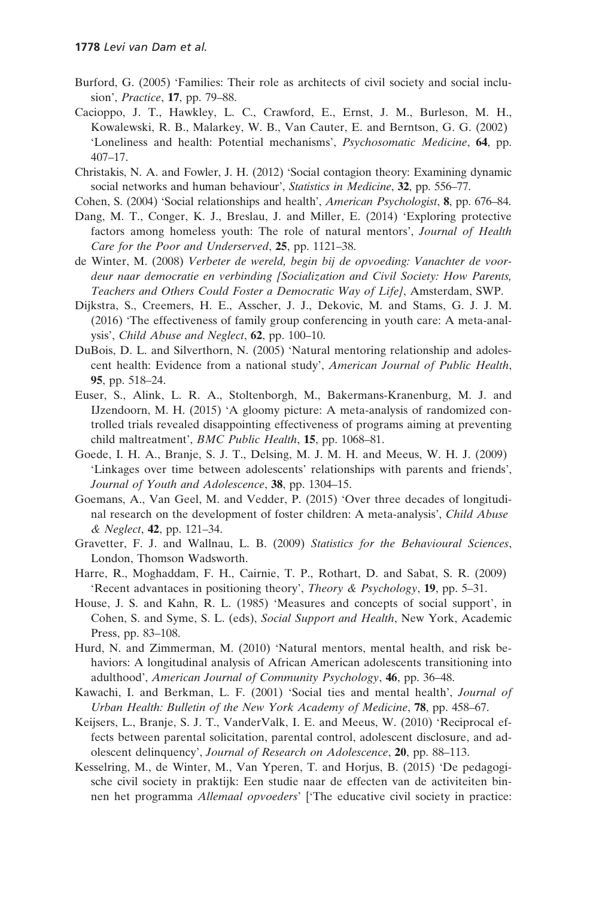- <span id="page-14-0"></span>Burford, G. (2005) 'Families: Their role as architects of civil society and social inclusion', Practice, 17, pp. 79–88.
- Cacioppo, J. T., Hawkley, L. C., Crawford, E., Ernst, J. M., Burleson, M. H., Kowalewski, R. B., Malarkey, W. B., Van Cauter, E. and Berntson, G. G. (2002) 'Loneliness and health: Potential mechanisms', Psychosomatic Medicine, 64, pp. 407–17.
- Christakis, N. A. and Fowler, J. H. (2012) 'Social contagion theory: Examining dynamic social networks and human behaviour', Statistics in Medicine, 32, pp. 556–77.
- Cohen, S. (2004) 'Social relationships and health', American Psychologist, 8, pp. 676–84.
- Dang, M. T., Conger, K. J., Breslau, J. and Miller, E. (2014) 'Exploring protective factors among homeless youth: The role of natural mentors', Journal of Health Care for the Poor and Underserved, 25, pp. 1121–38.
- de Winter, M. (2008) Verbeter de wereld, begin bij de opvoeding: Vanachter de voordeur naar democratie en verbinding [Socialization and Civil Society: How Parents, Teachers and Others Could Foster a Democratic Way of Life], Amsterdam, SWP.
- Dijkstra, S., Creemers, H. E., Asscher, J. J., Dekovic, M. and Stams, G. J. J. M. (2016) 'The effectiveness of family group conferencing in youth care: A meta-analysis', Child Abuse and Neglect, 62, pp. 100–10.
- DuBois, D. L. and Silverthorn, N. (2005) 'Natural mentoring relationship and adolescent health: Evidence from a national study', American Journal of Public Health, 95, pp. 518–24.
- Euser, S., Alink, L. R. A., Stoltenborgh, M., Bakermans-Kranenburg, M. J. and IJzendoorn, M. H. (2015) 'A gloomy picture: A meta-analysis of randomized controlled trials revealed disappointing effectiveness of programs aiming at preventing child maltreatment', BMC Public Health, 15, pp. 1068–81.
- Goede, I. H. A., Branje, S. J. T., Delsing, M. J. M. H. and Meeus, W. H. J. (2009) 'Linkages over time between adolescents' relationships with parents and friends', Journal of Youth and Adolescence, 38, pp. 1304-15.
- Goemans, A., Van Geel, M. and Vedder, P. (2015) 'Over three decades of longitudinal research on the development of foster children: A meta-analysis', Child Abuse & Neglect, 42, pp. 121–34.
- Gravetter, F. J. and Wallnau, L. B. (2009) Statistics for the Behavioural Sciences, London, Thomson Wadsworth.
- Harre, R., Moghaddam, F. H., Cairnie, T. P., Rothart, D. and Sabat, S. R. (2009) 'Recent advantaces in positioning theory', Theory & Psychology, 19, pp. 5–31.
- House, J. S. and Kahn, R. L. (1985) 'Measures and concepts of social support', in Cohen, S. and Syme, S. L. (eds), Social Support and Health, New York, Academic Press, pp. 83–108.
- Hurd, N. and Zimmerman, M. (2010) 'Natural mentors, mental health, and risk behaviors: A longitudinal analysis of African American adolescents transitioning into adulthood', American Journal of Community Psychology, 46, pp. 36–48.
- Kawachi, I. and Berkman, L. F. (2001) 'Social ties and mental health', Journal of Urban Health: Bulletin of the New York Academy of Medicine, 78, pp. 458–67.
- Keijsers, L., Branje, S. J. T., VanderValk, I. E. and Meeus, W. (2010) 'Reciprocal effects between parental solicitation, parental control, adolescent disclosure, and adolescent delinquency', Journal of Research on Adolescence, 20, pp. 88–113.
- Kesselring, M., de Winter, M., Van Yperen, T. and Horjus, B. (2015) 'De pedagogische civil society in praktijk: Een studie naar de effecten van de activiteiten binnen het programma Allemaal opvoeders' ['The educative civil society in practice: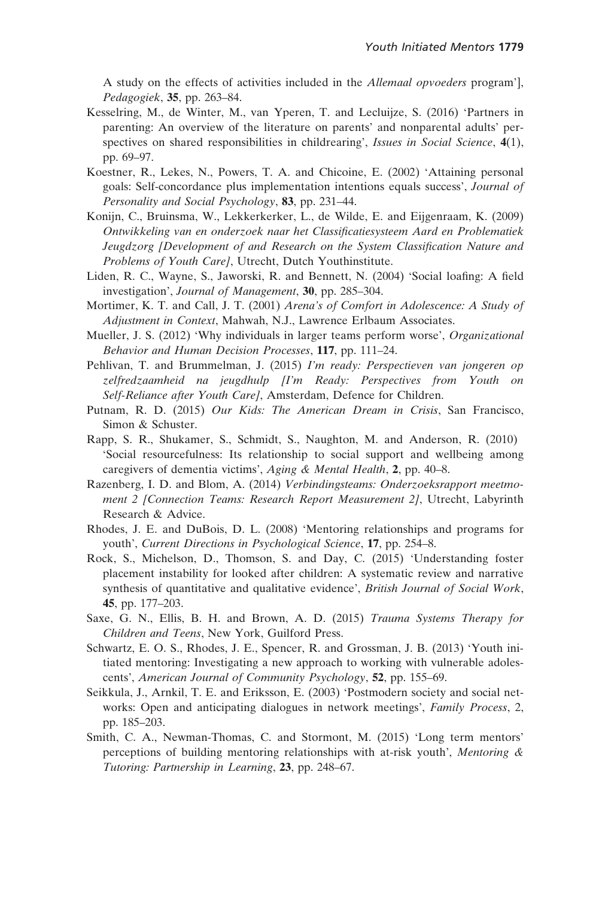<span id="page-15-0"></span>A study on the effects of activities included in the Allemaal opvoeders program'], Pedagogiek, 35, pp. 263–84.

- Kesselring, M., de Winter, M., van Yperen, T. and Lecluijze, S. (2016) 'Partners in parenting: An overview of the literature on parents' and nonparental adults' perspectives on shared responsibilities in childrearing', Issues in Social Science, 4(1), pp. 69–97.
- Koestner, R., Lekes, N., Powers, T. A. and Chicoine, E. (2002) 'Attaining personal goals: Self-concordance plus implementation intentions equals success', Journal of Personality and Social Psychology, 83, pp. 231-44.
- Konijn, C., Bruinsma, W., Lekkerkerker, L., de Wilde, E. and Eijgenraam, K. (2009) Ontwikkeling van en onderzoek naar het Classificatiesysteem Aard en Problematiek Jeugdzorg [Development of and Research on the System Classification Nature and Problems of Youth Care], Utrecht, Dutch Youthinstitute.
- Liden, R. C., Wayne, S., Jaworski, R. and Bennett, N. (2004) 'Social loafing: A field investigation', Journal of Management, 30, pp. 285–304.
- Mortimer, K. T. and Call, J. T. (2001) Arena's of Comfort in Adolescence: A Study of Adjustment in Context, Mahwah, N.J., Lawrence Erlbaum Associates.
- Mueller, J. S. (2012) 'Why individuals in larger teams perform worse', Organizational Behavior and Human Decision Processes, 117, pp. 111-24.
- Pehlivan, T. and Brummelman, J. (2015) I'm ready: Perspectieven van jongeren op zelfredzaamheid na jeugdhulp [I'm Ready: Perspectives from Youth on Self-Reliance after Youth Care], Amsterdam, Defence for Children.
- Putnam, R. D. (2015) Our Kids: The American Dream in Crisis, San Francisco, Simon & Schuster.
- Rapp, S. R., Shukamer, S., Schmidt, S., Naughton, M. and Anderson, R. (2010) 'Social resourcefulness: Its relationship to social support and wellbeing among caregivers of dementia victims', Aging & Mental Health, 2, pp. 40–8.
- Razenberg, I. D. and Blom, A. (2014) Verbindingsteams: Onderzoeksrapport meetmoment 2 [Connection Teams: Research Report Measurement 2], Utrecht, Labyrinth Research & Advice.
- Rhodes, J. E. and DuBois, D. L. (2008) 'Mentoring relationships and programs for youth', Current Directions in Psychological Science, 17, pp. 254–8.
- Rock, S., Michelson, D., Thomson, S. and Day, C. (2015) 'Understanding foster placement instability for looked after children: A systematic review and narrative synthesis of quantitative and qualitative evidence', British Journal of Social Work, 45, pp. 177–203.
- Saxe, G. N., Ellis, B. H. and Brown, A. D. (2015) Trauma Systems Therapy for Children and Teens, New York, Guilford Press.
- Schwartz, E. O. S., Rhodes, J. E., Spencer, R. and Grossman, J. B. (2013) 'Youth initiated mentoring: Investigating a new approach to working with vulnerable adolescents', American Journal of Community Psychology, 52, pp. 155–69.
- Seikkula, J., Arnkil, T. E. and Eriksson, E. (2003) 'Postmodern society and social networks: Open and anticipating dialogues in network meetings', Family Process, 2, pp. 185–203.
- Smith, C. A., Newman-Thomas, C. and Stormont, M. (2015) 'Long term mentors' perceptions of building mentoring relationships with at-risk youth', Mentoring  $\&$ Tutoring: Partnership in Learning, 23, pp. 248–67.